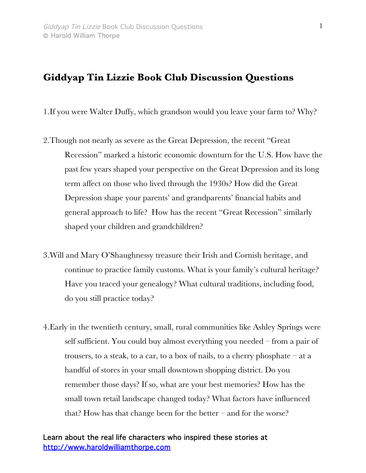## **Giddyap Tin Lizzie Book Club Discussion Questions**

1.If you were Walter Duffy, which grandson would you leave your farm to? Why?

- 2.Though not nearly as severe as the Great Depression, the recent "Great Recession" marked a historic economic downturn for the U.S. How have the past few years shaped your perspective on the Great Depression and its long term affect on those who lived through the 1930s? How did the Great Depression shape your parents' and grandparents' financial habits and general approach to life? How has the recent "Great Recession" similarly shaped your children and grandchildren?
- 3.Will and Mary O'Shaughnessy treasure their Irish and Cornish heritage, and continue to practice family customs. What is your family's cultural heritage? Have you traced your genealogy? What cultural traditions, including food, do you still practice today?
- 4.Early in the twentieth century, small, rural communities like Ashley Springs were self sufficient. You could buy almost everything you needed – from a pair of trousers, to a steak, to a car, to a box of nails, to a cherry phosphate  $-$  at a handful of stores in your small downtown shopping district. Do you remember those days? If so, what are your best memories? How has the small town retail landscape changed today? What factors have influenced that? How has that change been for the better – and for the worse?